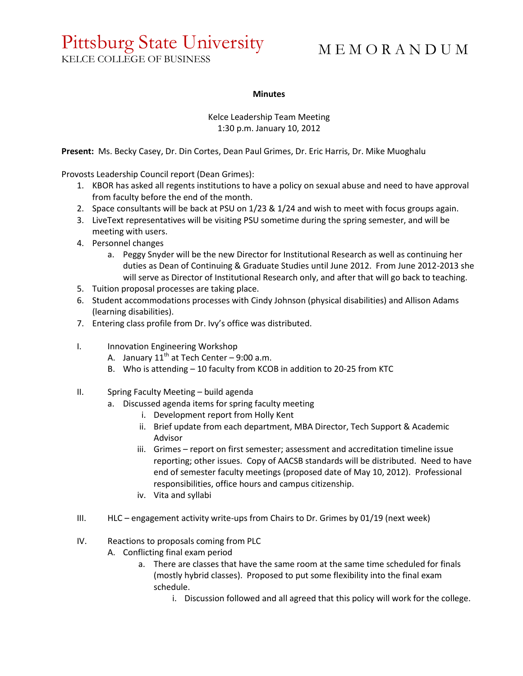## Pittsburg State University

KELCE COLLEGE OF BUSINESS

## M E M O R A N D U M

## **Minutes**

Kelce Leadership Team Meeting 1:30 p.m. January 10, 2012

**Present:** Ms. Becky Casey, Dr. Din Cortes, Dean Paul Grimes, Dr. Eric Harris, Dr. Mike Muoghalu

Provosts Leadership Council report (Dean Grimes):

- 1. KBOR has asked all regents institutions to have a policy on sexual abuse and need to have approval from faculty before the end of the month.
- 2. Space consultants will be back at PSU on 1/23 & 1/24 and wish to meet with focus groups again.
- 3. LiveText representatives will be visiting PSU sometime during the spring semester, and will be meeting with users.
- 4. Personnel changes
	- a. Peggy Snyder will be the new Director for Institutional Research as well as continuing her duties as Dean of Continuing & Graduate Studies until June 2012. From June 2012-2013 she will serve as Director of Institutional Research only, and after that will go back to teaching.
- 5. Tuition proposal processes are taking place.
- 6. Student accommodations processes with Cindy Johnson (physical disabilities) and Allison Adams (learning disabilities).
- 7. Entering class profile from Dr. Ivy's office was distributed.
- I. Innovation Engineering Workshop
	- A. January  $11<sup>th</sup>$  at Tech Center 9:00 a.m.
	- B. Who is attending 10 faculty from KCOB in addition to 20-25 from KTC
- II. Spring Faculty Meeting build agenda
	- a. Discussed agenda items for spring faculty meeting
		- i. Development report from Holly Kent
		- ii. Brief update from each department, MBA Director, Tech Support & Academic Advisor
		- iii. Grimes report on first semester; assessment and accreditation timeline issue reporting; other issues. Copy of AACSB standards will be distributed. Need to have end of semester faculty meetings (proposed date of May 10, 2012). Professional responsibilities, office hours and campus citizenship.
		- iv. Vita and syllabi
- III. HLC engagement activity write-ups from Chairs to Dr. Grimes by 01/19 (next week)
- IV. Reactions to proposals coming from PLC
	- A. Conflicting final exam period
		- a. There are classes that have the same room at the same time scheduled for finals (mostly hybrid classes). Proposed to put some flexibility into the final exam schedule.
			- i. Discussion followed and all agreed that this policy will work for the college.